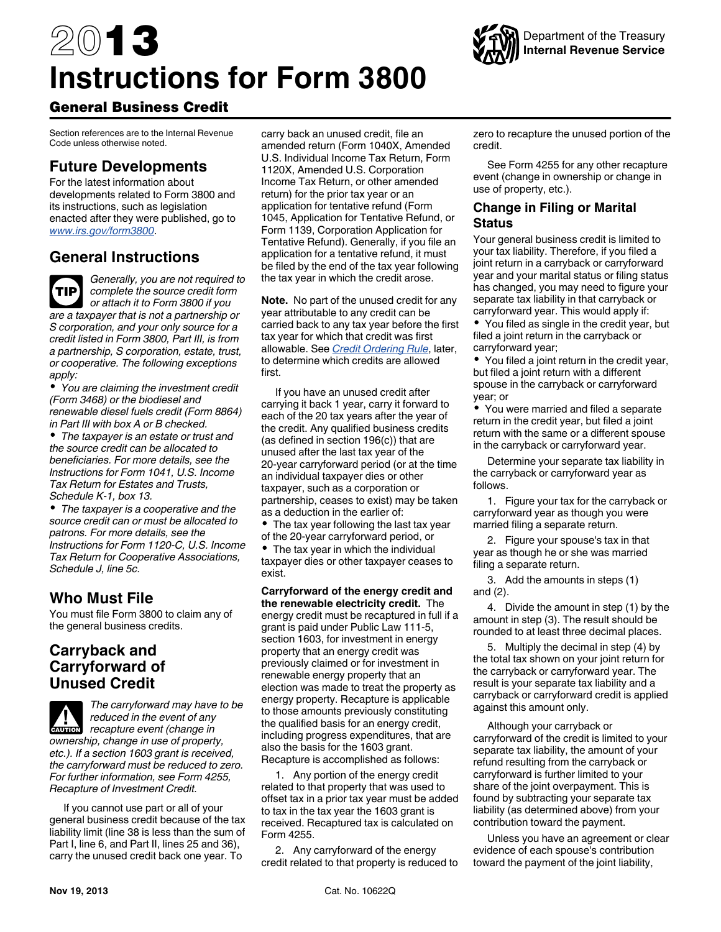# <span id="page-0-0"></span>2013 **Instructions for Form 3800**



# General Business Credit

Section references are to the Internal Revenue Code unless otherwise noted.

# **Future Developments**

For the latest information about developments related to Form 3800 and its instructions, such as legislation enacted after they were published, go to *[www.irs.gov/form3800](http://www.irs.gov/form3800)*.

# **General Instructions**



*Generally, you are not required to complete the source credit form or attach it to Form 3800 if you* 

*are a taxpayer that is not a partnership or S corporation, and your only source for a credit listed in Form 3800, Part III, is from a partnership, S corporation, estate, trust, or cooperative. The following exceptions apply:*

*You are claiming the investment credit (Form 3468) or the biodiesel and renewable diesel fuels credit (Form 8864) in Part III with box A or B checked.*

*The taxpayer is an estate or trust and the source credit can be allocated to beneficiaries. For more details, see the Instructions for Form 1041, U.S. Income Tax Return for Estates and Trusts, Schedule K-1, box 13.*

*The taxpayer is a cooperative and the source credit can or must be allocated to patrons. For more details, see the Instructions for Form 1120-C, U.S. Income Tax Return for Cooperative Associations, Schedule J, line 5c.*

# **Who Must File**

You must file Form 3800 to claim any of the general business credits.

# **Carryback and Carryforward of Unused Credit**



*The carryforward may have to be reduced in the event of any reduced in the event of any*<br>*recapture event (change in ownership, change in use of property, etc.). If a section 1603 grant is received, the carryforward must be reduced to zero. For further information, see Form 4255, Recapture of Investment Credit.*

If you cannot use part or all of your general business credit because of the tax liability limit (line 38 is less than the sum of Part I, line 6, and Part II, lines 25 and 36), carry the unused credit back one year. To

carry back an unused credit, file an amended return (Form 1040X, Amended U.S. Individual Income Tax Return, Form 1120X, Amended U.S. Corporation Income Tax Return, or other amended return) for the prior tax year or an application for tentative refund (Form 1045, Application for Tentative Refund, or Form 1139, Corporation Application for Tentative Refund). Generally, if you file an application for a tentative refund, it must be filed by the end of the tax year following the tax year in which the credit arose.

**Note.** No part of the unused credit for any year attributable to any credit can be carried back to any tax year before the first tax year for which that credit was first allowable. See *[Credit Ordering Rule](#page-1-0)*, later, to determine which credits are allowed first.

If you have an unused credit after carrying it back 1 year, carry it forward to each of the 20 tax years after the year of the credit. Any qualified business credits (as defined in section 196(c)) that are unused after the last tax year of the 20-year carryforward period (or at the time an individual taxpayer dies or other taxpayer, such as a corporation or partnership, ceases to exist) may be taken as a deduction in the earlier of:

• The tax year following the last tax year of the 20-year carryforward period, or

• The tax year in which the individual taxpayer dies or other taxpayer ceases to exist.

**Carryforward of the energy credit and the renewable electricity credit.** The energy credit must be recaptured in full if a grant is paid under Public Law 111-5, section 1603, for investment in energy property that an energy credit was previously claimed or for investment in renewable energy property that an election was made to treat the property as energy property. Recapture is applicable to those amounts previously constituting the qualified basis for an energy credit, including progress expenditures, that are also the basis for the 1603 grant. Recapture is accomplished as follows:

1. Any portion of the energy credit related to that property that was used to offset tax in a prior tax year must be added to tax in the tax year the 1603 grant is received. Recaptured tax is calculated on Form 4255.

2. Any carryforward of the energy credit related to that property is reduced to zero to recapture the unused portion of the credit.

See Form 4255 for any other recapture event (change in ownership or change in use of property, etc.).

## **Change in Filing or Marital Status**

Your general business credit is limited to your tax liability. Therefore, if you filed a joint return in a carryback or carryforward year and your marital status or filing status has changed, you may need to figure your separate tax liability in that carryback or carryforward year. This would apply if:

You filed as single in the credit year, but filed a joint return in the carryback or carryforward year;

You filed a joint return in the credit year, but filed a joint return with a different spouse in the carryback or carryforward year; or

You were married and filed a separate return in the credit year, but filed a joint return with the same or a different spouse in the carryback or carryforward year.

Determine your separate tax liability in the carryback or carryforward year as follows.

1. Figure your tax for the carryback or carryforward year as though you were married filing a separate return.

2. Figure your spouse's tax in that year as though he or she was married filing a separate return.

3. Add the amounts in steps (1) and (2).

4. Divide the amount in step (1) by the amount in step (3). The result should be rounded to at least three decimal places.

5. Multiply the decimal in step (4) by the total tax shown on your joint return for the carryback or carryforward year. The result is your separate tax liability and a carryback or carryforward credit is applied against this amount only.

Although your carryback or carryforward of the credit is limited to your separate tax liability, the amount of your refund resulting from the carryback or carryforward is further limited to your share of the joint overpayment. This is found by subtracting your separate tax liability (as determined above) from your contribution toward the payment.

Unless you have an agreement or clear evidence of each spouse's contribution toward the payment of the joint liability,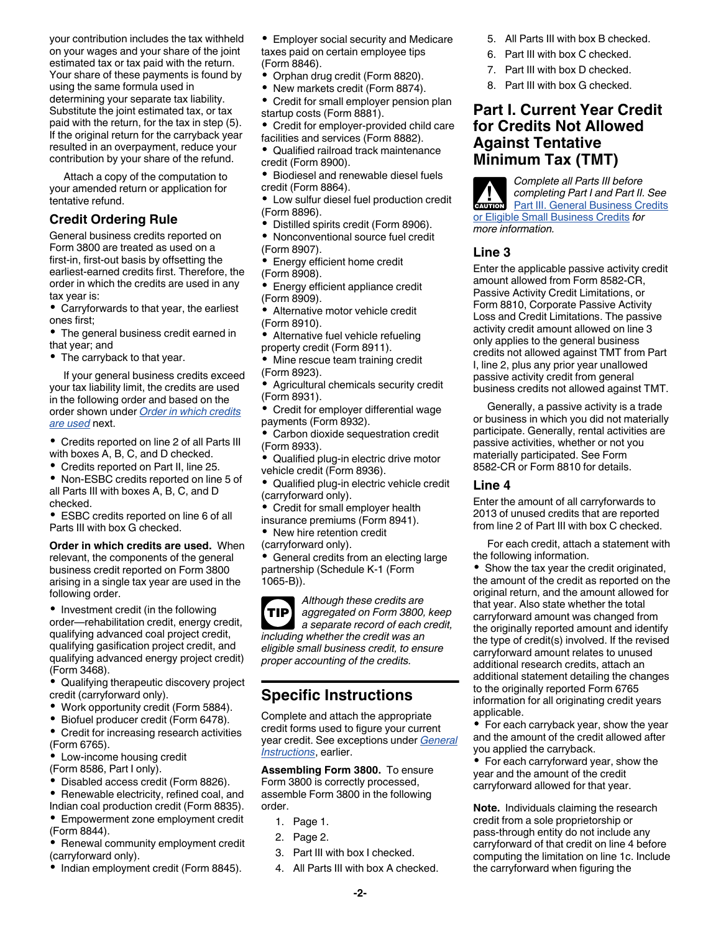<span id="page-1-0"></span>your contribution includes the tax withheld on your wages and your share of the joint estimated tax or tax paid with the return. Your share of these payments is found by using the same formula used in determining your separate tax liability. Substitute the joint estimated tax, or tax paid with the return, for the tax in step (5). If the original return for the carryback year resulted in an overpayment, reduce your contribution by your share of the refund.

Attach a copy of the computation to your amended return or application for tentative refund.

# **Credit Ordering Rule**

General business credits reported on Form 3800 are treated as used on a first-in, first-out basis by offsetting the earliest-earned credits first. Therefore, the order in which the credits are used in any tax year is:

Carryforwards to that year, the earliest ones first;

The general business credit earned in that year; and

• The carryback to that year.

If your general business credits exceed your tax liability limit, the credits are used in the following order and based on the order shown under *Order in which credits are used* next.

Credits reported on line 2 of all Parts III with boxes A, B, C, and D checked.

Credits reported on Part II, line 25.

Non-ESBC credits reported on line 5 of all Parts III with boxes A, B, C, and D checked.

ESBC credits reported on line 6 of all Parts III with box G checked.

**Order in which credits are used.** When relevant, the components of the general business credit reported on Form 3800 arising in a single tax year are used in the following order.

• Investment credit (in the following order—rehabilitation credit, energy credit, qualifying advanced coal project credit, qualifying gasification project credit, and qualifying advanced energy project credit) (Form 3468).

Qualifying therapeutic discovery project credit (carryforward only).

- Work opportunity credit (Form 5884).
- Biofuel producer credit (Form 6478).
- Credit for increasing research activities (Form 6765).

Low-income housing credit

(Form 8586, Part I only).

Disabled access credit (Form 8826).

Renewable electricity, refined coal, and Indian coal production credit (Form 8835).

Empowerment zone employment credit (Form 8844).

Renewal community employment credit (carryforward only).

• Indian employment credit (Form 8845).

Employer social security and Medicare taxes paid on certain employee tips (Form 8846).

- Orphan drug credit (Form 8820).
- $\bullet$ New markets credit (Form 8874).
- Credit for small employer pension plan startup costs (Form 8881).
- Credit for employer-provided child care facilities and services (Form 8882).
- Qualified railroad track maintenance credit (Form 8900).
- Biodiesel and renewable diesel fuels credit (Form 8864).
- Low sulfur diesel fuel production credit (Form 8896).
- Distilled spirits credit (Form 8906).
- $\bullet$ Nonconventional source fuel credit (Form 8907).
- Energy efficient home credit (Form 8908).
- Energy efficient appliance credit (Form 8909).
- Alternative motor vehicle credit (Form 8910).
- Alternative fuel vehicle refueling property credit (Form 8911).
- Mine rescue team training credit (Form 8923).
- Agricultural chemicals security credit (Form 8931).
- Credit for employer differential wage payments (Form 8932).
- Carbon dioxide sequestration credit (Form 8933).
- Qualified plug-in electric drive motor vehicle credit (Form 8936).
- Qualified plug-in electric vehicle credit (carryforward only).
- Credit for small employer health
- insurance premiums (Form 8941).
- New hire retention credit
- (carryforward only).
- General credits from an electing large partnership (Schedule K-1 (Form 1065-B)).

*Although these credits are aggregated on Form 3800, keep a separate record of each credit, including whether the credit was an eligible small business credit, to ensure proper accounting of the credits.* **TIP**

# **Specific Instructions**

Complete and attach the appropriate credit forms used to figure your current year credit. See exceptions under *[General](#page-0-0)  [Instructions](#page-0-0)*, earlier.

**Assembling Form 3800.** To ensure Form 3800 is correctly processed, assemble Form 3800 in the following order.

- 1. Page 1.
- 2. Page 2.
- 3. Part III with box I checked.
- 4. All Parts III with box A checked.
- 5. All Parts III with box B checked.
- 6. Part III with box C checked.
- 7. Part III with box D checked.
- 8. Part III with box G checked.

# **Part I. Current Year Credit for Credits Not Allowed Against Tentative Minimum Tax (TMT)**

*Complete all Parts III before completing Part I and Part II. See*  **Part III. General Business Credits** [or Eligible Small Business Credits](#page-2-0) *for more information.* **CAUTION !**

#### **Line 3**

Enter the applicable passive activity credit amount allowed from Form 8582-CR, Passive Activity Credit Limitations, or Form 8810, Corporate Passive Activity Loss and Credit Limitations. The passive activity credit amount allowed on line 3 only applies to the general business credits not allowed against TMT from Part I, line 2, plus any prior year unallowed passive activity credit from general business credits not allowed against TMT.

Generally, a passive activity is a trade or business in which you did not materially participate. Generally, rental activities are passive activities, whether or not you materially participated. See Form 8582-CR or Form 8810 for details.

#### **Line 4**

Enter the amount of all carryforwards to 2013 of unused credits that are reported from line 2 of Part III with box C checked.

For each credit, attach a statement with the following information.

• Show the tax year the credit originated, the amount of the credit as reported on the original return, and the amount allowed for that year. Also state whether the total carryforward amount was changed from the originally reported amount and identify the type of credit(s) involved. If the revised carryforward amount relates to unused additional research credits, attach an additional statement detailing the changes to the originally reported Form 6765 information for all originating credit years applicable.

For each carryback year, show the year and the amount of the credit allowed after you applied the carryback.

• For each carryforward year, show the year and the amount of the credit carryforward allowed for that year.

**Note.** Individuals claiming the research credit from a sole proprietorship or pass-through entity do not include any carryforward of that credit on line 4 before computing the limitation on line 1c. Include the carryforward when figuring the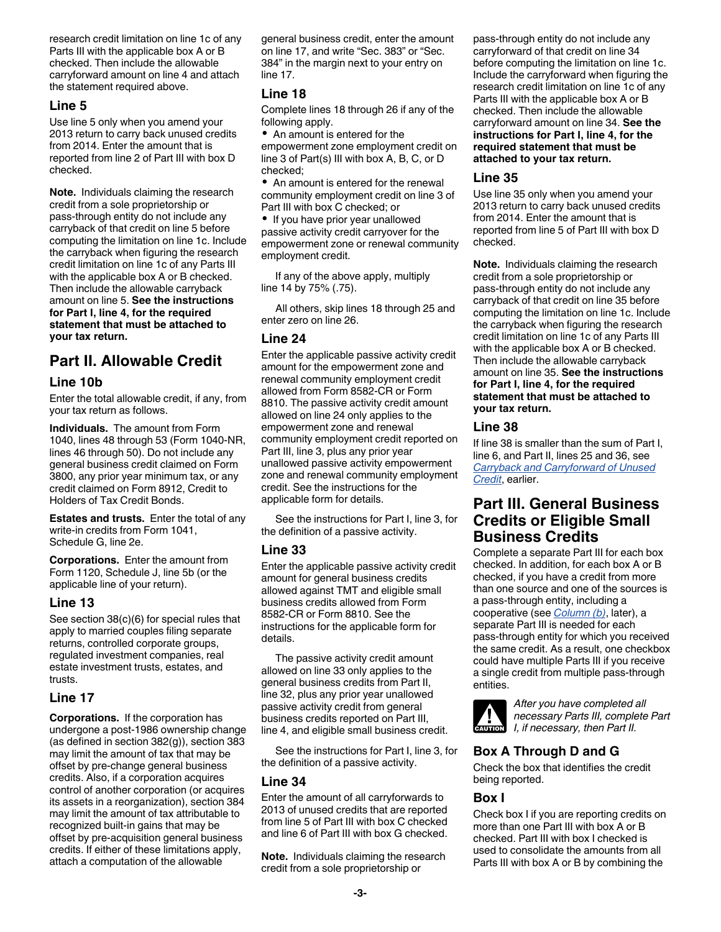<span id="page-2-0"></span>research credit limitation on line 1c of any Parts III with the applicable box A or B checked. Then include the allowable carryforward amount on line 4 and attach the statement required above.

## **Line 5**

Use line 5 only when you amend your 2013 return to carry back unused credits from 2014. Enter the amount that is reported from line 2 of Part III with box D checked.

**Note.** Individuals claiming the research credit from a sole proprietorship or pass-through entity do not include any carryback of that credit on line 5 before computing the limitation on line 1c. Include the carryback when figuring the research credit limitation on line 1c of any Parts III with the applicable box A or B checked. Then include the allowable carryback amount on line 5. **See the instructions for Part I, line 4, for the required statement that must be attached to your tax return.**

# **Part II. Allowable Credit**

## **Line 10b**

Enter the total allowable credit, if any, from your tax return as follows.

**Individuals.** The amount from Form 1040, lines 48 through 53 (Form 1040-NR, lines 46 through 50). Do not include any general business credit claimed on Form 3800, any prior year minimum tax, or any credit claimed on Form 8912, Credit to Holders of Tax Credit Bonds.

**Estates and trusts.** Enter the total of any write-in credits from Form 1041, Schedule G, line 2e.

**Corporations.** Enter the amount from Form 1120, Schedule J, line 5b (or the applicable line of your return).

#### **Line 13**

See section 38(c)(6) for special rules that apply to married couples filing separate returns, controlled corporate groups, regulated investment companies, real estate investment trusts, estates, and trusts.

# **Line 17**

**Corporations.** If the corporation has undergone a post-1986 ownership change (as defined in section 382(g)), section 383 may limit the amount of tax that may be offset by pre-change general business credits. Also, if a corporation acquires control of another corporation (or acquires its assets in a reorganization), section 384 may limit the amount of tax attributable to recognized built-in gains that may be offset by pre-acquisition general business credits. If either of these limitations apply, attach a computation of the allowable

general business credit, enter the amount on line 17, and write "Sec. 383" or "Sec. 384" in the margin next to your entry on line 17.

# **Line 18**

Complete lines 18 through 26 if any of the following apply.

An amount is entered for the empowerment zone employment credit on line 3 of Part(s) III with box A, B, C, or D checked;

• An amount is entered for the renewal community employment credit on line 3 of Part III with box C checked; or

• If you have prior year unallowed passive activity credit carryover for the empowerment zone or renewal community employment credit.

If any of the above apply, multiply line 14 by 75% (.75).

All others, skip lines 18 through 25 and enter zero on line 26.

# **Line 24**

Enter the applicable passive activity credit amount for the empowerment zone and renewal community employment credit allowed from Form 8582-CR or Form 8810. The passive activity credit amount allowed on line 24 only applies to the empowerment zone and renewal community employment credit reported on Part III, line 3, plus any prior year unallowed passive activity empowerment zone and renewal community employment credit. See the instructions for the applicable form for details.

See the instructions for Part I, line 3, for the definition of a passive activity.

## **Line 33**

Enter the applicable passive activity credit amount for general business credits allowed against TMT and eligible small business credits allowed from Form 8582-CR or Form 8810. See the instructions for the applicable form for details.

The passive activity credit amount allowed on line 33 only applies to the general business credits from Part II, line 32, plus any prior year unallowed passive activity credit from general business credits reported on Part III, line 4, and eligible small business credit.

See the instructions for Part I, line 3, for the definition of a passive activity.

## **Line 34**

Enter the amount of all carryforwards to 2013 of unused credits that are reported from line 5 of Part III with box C checked and line 6 of Part III with box G checked.

**Note.** Individuals claiming the research credit from a sole proprietorship or

pass-through entity do not include any carryforward of that credit on line 34 before computing the limitation on line 1c. Include the carryforward when figuring the research credit limitation on line 1c of any Parts III with the applicable box A or B checked. Then include the allowable carryforward amount on line 34. **See the instructions for Part I, line 4, for the required statement that must be attached to your tax return.**

#### **Line 35**

Use line 35 only when you amend your 2013 return to carry back unused credits from 2014. Enter the amount that is reported from line 5 of Part III with box D checked.

**Note.** Individuals claiming the research credit from a sole proprietorship or pass-through entity do not include any carryback of that credit on line 35 before computing the limitation on line 1c. Include the carryback when figuring the research credit limitation on line 1c of any Parts III with the applicable box A or B checked. Then include the allowable carryback amount on line 35. **See the instructions for Part I, line 4, for the required statement that must be attached to your tax return.**

# **Line 38**

If line 38 is smaller than the sum of Part I, line 6, and Part II, lines 25 and 36, see *[Carryback and Carryforward of Unused](#page-0-0)  [Credit](#page-0-0)*, earlier.

# **Part III. General Business Credits or Eligible Small Business Credits**

Complete a separate Part III for each box checked. In addition, for each box A or B checked, if you have a credit from more than one source and one of the sources is a pass-through entity, including a cooperative (see *[Column \(b\)](#page-3-0)*, later), a separate Part III is needed for each pass-through entity for which you received the same credit. As a result, one checkbox could have multiple Parts III if you receive a single credit from multiple pass-through entities.



*After you have completed all necessary Parts III, complete Part I, if necessary, then Part II.*

# **Box A Through D and G**

Check the box that identifies the credit being reported.

# **Box I**

Check box I if you are reporting credits on more than one Part III with box A or B checked. Part III with box I checked is used to consolidate the amounts from all Parts III with box A or B by combining the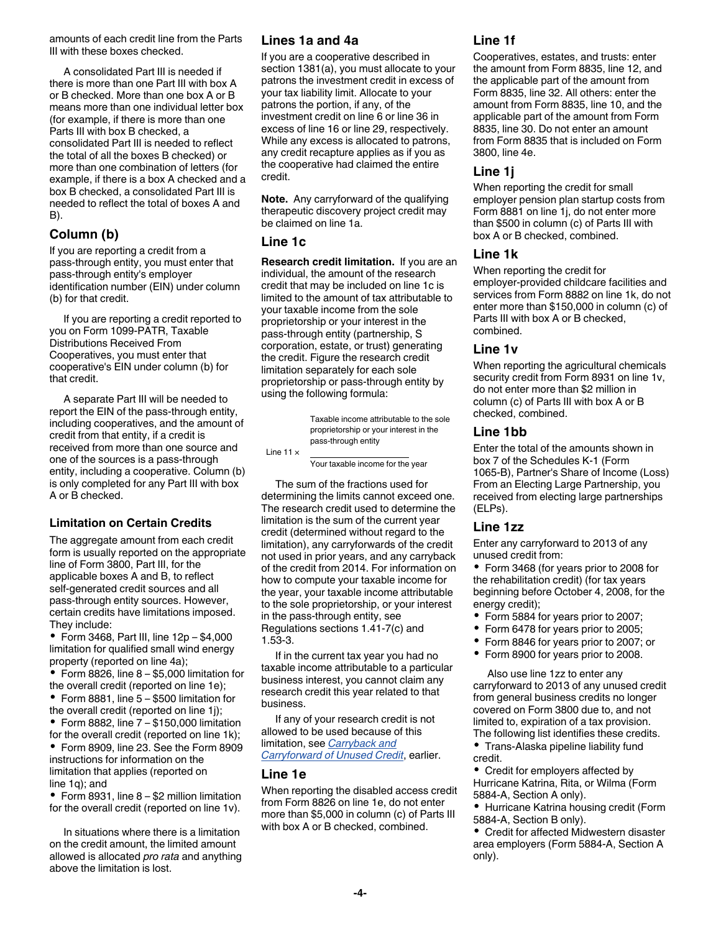<span id="page-3-0"></span>amounts of each credit line from the Parts III with these boxes checked.

A consolidated Part III is needed if there is more than one Part III with box A or B checked. More than one box A or B means more than one individual letter box (for example, if there is more than one Parts III with box B checked, a consolidated Part III is needed to reflect the total of all the boxes B checked) or more than one combination of letters (for example, if there is a box A checked and a box B checked, a consolidated Part III is needed to reflect the total of boxes A and B).

#### **Column (b)**

If you are reporting a credit from a pass-through entity, you must enter that pass-through entity's employer identification number (EIN) under column (b) for that credit.

If you are reporting a credit reported to you on Form 1099-PATR, Taxable Distributions Received From Cooperatives, you must enter that cooperative's EIN under column (b) for that credit.

A separate Part III will be needed to report the EIN of the pass-through entity, including cooperatives, and the amount of credit from that entity, if a credit is received from more than one source and one of the sources is a pass-through entity, including a cooperative. Column (b) is only completed for any Part III with box A or B checked.

#### **Limitation on Certain Credits**

The aggregate amount from each credit form is usually reported on the appropriate line of Form 3800, Part III, for the applicable boxes A and B, to reflect self-generated credit sources and all pass-through entity sources. However, certain credits have limitations imposed. They include:

Form 3468, Part III, line 12p – \$4,000 limitation for qualified small wind energy property (reported on line 4a);

• Form 8826, line  $8 - $5,000$  limitation for the overall credit (reported on line 1e);

Form 8881, line 5 – \$500 limitation for the overall credit (reported on line 1j);

 $\bullet$  Form 8882, line  $7 - $150,000$  limitation for the overall credit (reported on line 1k); Form 8909, line 23. See the Form 8909 instructions for information on the limitation that applies (reported on

line 1q); and

Form 8931, line 8 – \$2 million limitation for the overall credit (reported on line 1v).

In situations where there is a limitation on the credit amount, the limited amount allowed is allocated *pro rata* and anything above the limitation is lost.

## **Lines 1a and 4a**

If you are a cooperative described in section 1381(a), you must allocate to your patrons the investment credit in excess of your tax liability limit. Allocate to your patrons the portion, if any, of the investment credit on line 6 or line 36 in excess of line 16 or line 29, respectively. While any excess is allocated to patrons, any credit recapture applies as if you as the cooperative had claimed the entire credit.

**Note.** Any carryforward of the qualifying therapeutic discovery project credit may be claimed on line 1a.

#### **Line 1c**

**Research credit limitation.** If you are an individual, the amount of the research credit that may be included on line 1c is limited to the amount of tax attributable to your taxable income from the sole proprietorship or your interest in the pass-through entity (partnership, S corporation, estate, or trust) generating the credit. Figure the research credit limitation separately for each sole proprietorship or pass-through entity by using the following formula:

> Taxable income attributable to the sole proprietorship or your interest in the pass-through entity

#### Line  $11 \times$

Your taxable income for the year

The sum of the fractions used for determining the limits cannot exceed one. The research credit used to determine the limitation is the sum of the current year credit (determined without regard to the limitation), any carryforwards of the credit not used in prior years, and any carryback of the credit from 2014. For information on how to compute your taxable income for the year, your taxable income attributable to the sole proprietorship, or your interest in the pass-through entity, see Regulations sections 1.41-7(c) and 1.53-3.

If in the current tax year you had no taxable income attributable to a particular business interest, you cannot claim any research credit this year related to that business.

If any of your research credit is not allowed to be used because of this limitation, see *[Carryback and](#page-0-0)  [Carryforward of Unused Credit](#page-0-0)*, earlier.

#### **Line 1e**

When reporting the disabled access credit from Form 8826 on line 1e, do not enter more than \$5,000 in column (c) of Parts III with box A or B checked, combined.

# **Line 1f**

Cooperatives, estates, and trusts: enter the amount from Form 8835, line 12, and the applicable part of the amount from Form 8835, line 32. All others: enter the amount from Form 8835, line 10, and the applicable part of the amount from Form 8835, line 30. Do not enter an amount from Form 8835 that is included on Form 3800, line 4e.

## **Line 1j**

When reporting the credit for small employer pension plan startup costs from Form 8881 on line 1j, do not enter more than \$500 in column (c) of Parts III with box A or B checked, combined.

#### **Line 1k**

When reporting the credit for employer-provided childcare facilities and services from Form 8882 on line 1k, do not enter more than \$150,000 in column (c) of Parts III with box A or B checked, combined.

#### **Line 1v**

When reporting the agricultural chemicals security credit from Form 8931 on line 1v, do not enter more than \$2 million in column (c) of Parts III with box A or B checked, combined.

## **Line 1bb**

Enter the total of the amounts shown in box 7 of the Schedules K-1 (Form 1065-B), Partner's Share of Income (Loss) From an Electing Large Partnership, you received from electing large partnerships (ELPs).

## **Line 1zz**

Enter any carryforward to 2013 of any unused credit from:

Form 3468 (for years prior to 2008 for the rehabilitation credit) (for tax years beginning before October 4, 2008, for the energy credit);

- Form 5884 for years prior to 2007;
- Form 6478 for years prior to 2005;
- Form 8846 for years prior to 2007; or
- Form 8900 for years prior to 2008.

Also use line 1zz to enter any carryforward to 2013 of any unused credit from general business credits no longer covered on Form 3800 due to, and not limited to, expiration of a tax provision. The following list identifies these credits.

• Trans-Alaska pipeline liability fund credit.

- Credit for employers affected by Hurricane Katrina, Rita, or Wilma (Form 5884-A, Section A only).
- Hurricane Katrina housing credit (Form 5884-A, Section B only).

Credit for affected Midwestern disaster area employers (Form 5884-A, Section A only).